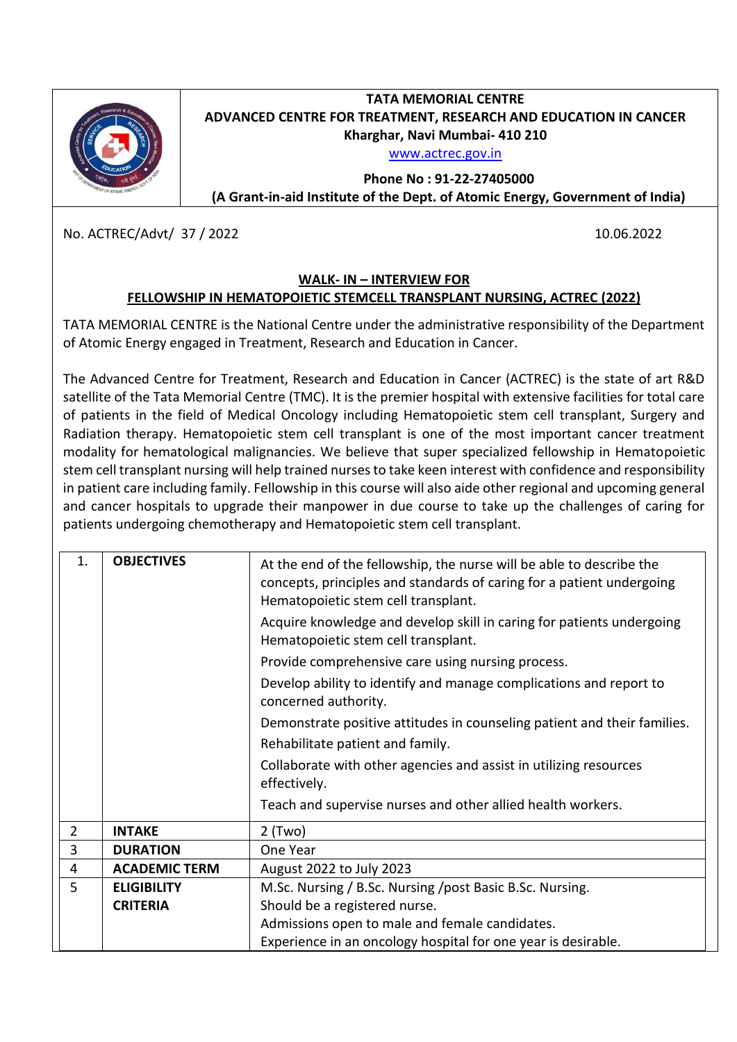

## **TATA MEMORIAL CENTRE ADVANCED CENTRE FOR TREATMENT, RESEARCH AND EDUCATION IN CANCER Kharghar, Navi Mumbai- 410 210**

[www.actrec.gov.in](http://www.actrec.gov.in/)

**Phone No : 91-22-27405000 (A Grant-in-aid Institute of the Dept. of Atomic Energy, Government of India)**

No. ACTREC/Advt/ 37 / 2022 10.06.2022

## **WALK- IN – INTERVIEW FOR FELLOWSHIP IN HEMATOPOIETIC STEMCELL TRANSPLANT NURSING, ACTREC (2022)**

TATA MEMORIAL CENTRE is the National Centre under the administrative responsibility of the Department of Atomic Energy engaged in Treatment, Research and Education in Cancer.

The Advanced Centre for Treatment, Research and Education in Cancer (ACTREC) is the state of art R&D satellite of the Tata Memorial Centre (TMC). It is the premier hospital with extensive facilities for total care of patients in the field of Medical Oncology including Hematopoietic stem cell transplant, Surgery and Radiation therapy. Hematopoietic stem cell transplant is one of the most important cancer treatment modality for hematological malignancies. We believe that super specialized fellowship in Hematopoietic stem cell transplant nursing will help trained nurses to take keen interest with confidence and responsibility in patient care including family. Fellowship in this course will also aide other regional and upcoming general and cancer hospitals to upgrade their manpower in due course to take up the challenges of caring for patients undergoing chemotherapy and Hematopoietic stem cell transplant.

| $\mathbf{1}$ . | <b>OBJECTIVES</b>    | At the end of the fellowship, the nurse will be able to describe the<br>concepts, principles and standards of caring for a patient undergoing<br>Hematopoietic stem cell transplant.<br>Acquire knowledge and develop skill in caring for patients undergoing<br>Hematopoietic stem cell transplant.<br>Provide comprehensive care using nursing process.<br>Develop ability to identify and manage complications and report to<br>concerned authority.<br>Demonstrate positive attitudes in counseling patient and their families.<br>Rehabilitate patient and family.<br>Collaborate with other agencies and assist in utilizing resources<br>effectively.<br>Teach and supervise nurses and other allied health workers. |
|----------------|----------------------|-----------------------------------------------------------------------------------------------------------------------------------------------------------------------------------------------------------------------------------------------------------------------------------------------------------------------------------------------------------------------------------------------------------------------------------------------------------------------------------------------------------------------------------------------------------------------------------------------------------------------------------------------------------------------------------------------------------------------------|
| $\overline{2}$ | <b>INTAKE</b>        | $2$ (Two)                                                                                                                                                                                                                                                                                                                                                                                                                                                                                                                                                                                                                                                                                                                   |
| 3              | <b>DURATION</b>      | One Year                                                                                                                                                                                                                                                                                                                                                                                                                                                                                                                                                                                                                                                                                                                    |
| 4              | <b>ACADEMIC TERM</b> | August 2022 to July 2023                                                                                                                                                                                                                                                                                                                                                                                                                                                                                                                                                                                                                                                                                                    |
| 5              | <b>ELIGIBILITY</b>   | M.Sc. Nursing / B.Sc. Nursing / post Basic B.Sc. Nursing.                                                                                                                                                                                                                                                                                                                                                                                                                                                                                                                                                                                                                                                                   |
|                | <b>CRITERIA</b>      | Should be a registered nurse.                                                                                                                                                                                                                                                                                                                                                                                                                                                                                                                                                                                                                                                                                               |
|                |                      | Admissions open to male and female candidates.                                                                                                                                                                                                                                                                                                                                                                                                                                                                                                                                                                                                                                                                              |
|                |                      | Experience in an oncology hospital for one year is desirable.                                                                                                                                                                                                                                                                                                                                                                                                                                                                                                                                                                                                                                                               |